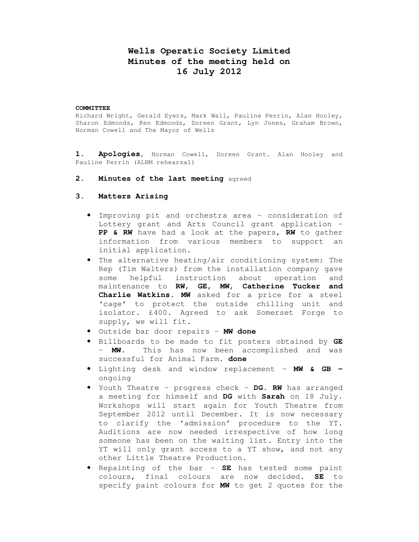# **Wells Operatic Society Limited Minutes of the meeting held on 16 July 2012**

#### **COMMITTEE**

Richard Wright, Gerald Eyers, Mark Wall, Pauline Perrin, Alan Hooley, Sharon Edmonds, Ken Edmonds, Doreen Grant, Lyn Jones, Graham Brown, Norman Cowell and The Mayor of Wells

**1. Apologies,** Norman Cowell, Doreen Grant. Alan Hooley and Pauline Perrin (ALNM rehearsal)

**2. Minutes of the last meeting** agreed

#### **3. Matters Arising**

- Improving pit and orchestra area consideration of Lottery grant and Arts Council grant application – **PP & RW** have had a look at the papers**, RW** to gather information from various members to support an initial application.
- The alternative heating/air conditioning system: The Rep (Tim Walters) from the installation company gave some helpful instruction about operation and maintenance to **RW, GE, MW, Catherine Tucker and Charlie Watkins. MW** asked for a price for a steel 'cage' to protect the outside chilling unit and isolator. £400. Agreed to ask Somerset Forge to supply, we will fit.
- Outside bar door repairs **MW done**
- Billboards to be made to fit posters obtained by **GE**  – **MW.** This has now been accomplished and was successful for Animal Farm. **done**
- Lighting desk and window replacement **MW & GB –** ongoing
- Youth Theatre progress check **DG. RW** has arranged a meeting for himself and **DG** with **Sarah** on 18 July. Workshops will start again for Youth Theatre from September 2012 until December. It is now necessary to clarify the 'admission' procedure to the YT. Auditions are now needed irrespective of how long someone has been on the waiting list. Entry into the YT will only grant access to a YT show, and not any other Little Theatre Production.
- Repainting of the bar **SE** has tested some paint colours, final colours are now decided. **SE** to specify paint colours for **MW** to get 2 quotes for the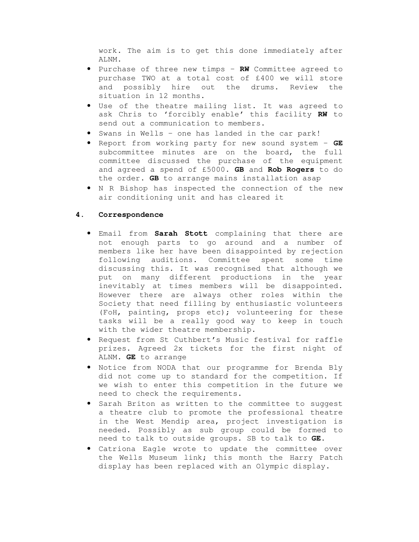work. The aim is to get this done immediately after ALNM.

- Purchase of three new timps **RW** Committee agreed to purchase TWO at a total cost of £400 we will store and possibly hire out the drums. Review the situation in 12 months.
- Use of the theatre mailing list. It was agreed to ask Chris to 'forcibly enable' this facility **RW** to send out a communication to members.
- Swans in Wells one has landed in the car park!
- Report from working party for new sound system **GE**  subcommittee minutes are on the board, the full committee discussed the purchase of the equipment and agreed a spend of £5000. **GB** and **Rob Rogers** to do the order. **GB** to arrange mains installation asap
- N R Bishop has inspected the connection of the new air conditioning unit and has cleared it

# **4. Correspondence**

- Email from **Sarah Stott** complaining that there are not enough parts to go around and a number of members like her have been disappointed by rejection following auditions. Committee spent some time discussing this. It was recognised that although we put on many different productions in the year inevitably at times members will be disappointed. However there are always other roles within the Society that need filling by enthusiastic volunteers (FoH, painting, props etc); volunteering for these tasks will be a really good way to keep in touch with the wider theatre membership.
- Request from St Cuthbert's Music festival for raffle prizes. Agreed 2x tickets for the first night of ALNM. **GE** to arrange
- Notice from NODA that our programme for Brenda Bly did not come up to standard for the competition. If we wish to enter this competition in the future we need to check the requirements.
- Sarah Briton as written to the committee to suggest a theatre club to promote the professional theatre in the West Mendip area, project investigation is needed. Possibly as sub group could be formed to need to talk to outside groups. SB to talk to **GE**.
- Catriona Eagle wrote to update the committee over the Wells Museum link; this month the Harry Patch display has been replaced with an Olympic display.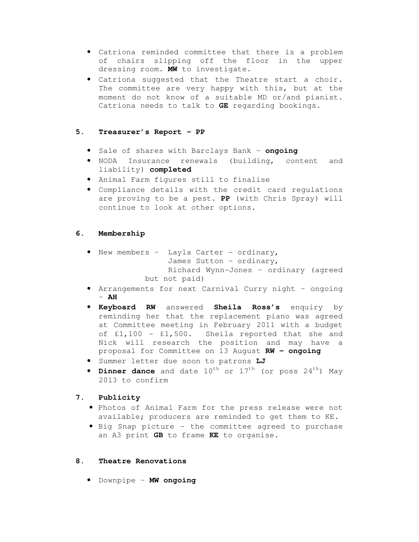- Catriona reminded committee that there is a problem of chairs slipping off the floor in the upper dressing room. **MW** to investigate.
- Catriona suggested that the Theatre start a choir. The committee are very happy with this, but at the moment do not know of a suitable MD or/and pianist. Catriona needs to talk to **GE** regarding bookings.

# **5. Treasurer's Report – PP**

- Sale of shares with Barclays Bank **ongoing**
- NODA Insurance renewals (building, content and liability) **completed**
- Animal Farm figures still to finalise
- Compliance details with the credit card regulations are proving to be a pest. **PP** (with Chris Spray) will continue to look at other options.

# **6. Membership**

- New members Layla Carter ordinary, James Sutton - ordinary, Richard Wynn-Jones – ordinary (agreed but not paid)
- Arrangements for next Carnival Curry night ongoing – **AH**
- **Keyboard RW** answered **Sheila Ross's** enquiry by reminding her that the replacement piano was agreed at Committee meeting in February 2011 with a budget of £1,100 - £1,500. Sheila reported that she and Nick will research the position and may have a proposal for Committee on 13 August **RW - ongoing**
- Summer letter due soon to patrons **LJ**
- **Dinner dance** and date  $10^{th}$  or  $17^{th}$  (or poss  $24^{th}$ ) May 2013 to confirm

# **7. Publicity**

- Photos of Animal Farm for the press release were not available; producers are reminded to get them to KE.
- Big Snap picture the committee agreed to purchase an A3 print **GB** to frame **KE** to organise.

# **8. Theatre Renovations**

• Downpipe – **MW ongoing**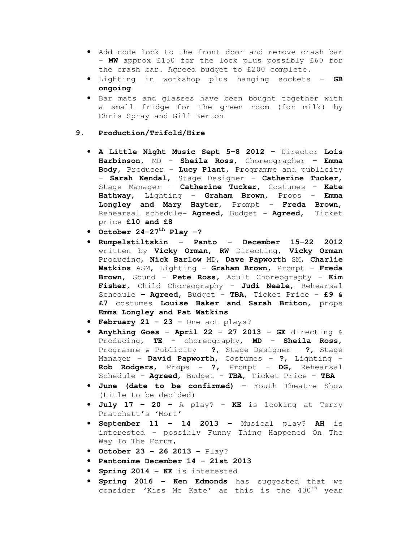- Add code lock to the front door and remove crash bar – **MW** approx £150 for the lock plus possibly £60 for the crash bar. Agreed budget to £200 complete.
- Lighting in workshop plus hanging sockets **GB ongoing**
- Bar mats and glasses have been bought together with a small fridge for the green room (for milk) by Chris Spray and Gill Kerton

#### **9. Production/Trifold/Hire**

- **A Little Night Music Sept 5-8 2012** Director **Lois Harbinson,** MD – **Sheila Ross,** Choreographer **– Emma Body,** Producer – **Lucy Plant**, Programme and publicity – **Sarah Kendal**, Stage Designer – **Catherine Tucker,**  Stage Manager - **Catherine Tucker,** Costumes – **Kate Hathway**, Lighting – **Graham Brown**, Props – **Emma Longley and Mary Hayter**, Prompt – **Freda Brown**, Rehearsal schedule- **Agreed,** Budget - **Agreed,** Ticket price **£10 and £8**
- **October 24-27th Play –?**
- **Rumpelstiltskin Panto December 15-22 2012**  written by **Vicky Orman, RW** Directing, **Vicky Orman** Producing, **Nick Barlow** MD, **Dave Papworth** SM, **Charlie Watkins** ASM**,** Lighting – **Graham Brown,** Prompt – **Freda Brown,** Sound – **Pete Ross,** Adult Choreography – **Kim Fisher,** Child Choreography – **Judi Neale,** Rehearsal Schedule **– Agreed,** Budget – **TBA,** Ticket Price – **£9 & £7** costumes **Louise Baker and Sarah Briton,** props **Emma Longley and Pat Watkins**
- **February 21 23** One act plays?
- **Anything Goes April 22 27 2013 GE** directing & Producing, **TE** – choreography, **MD** – **Sheila Ross,**  Programme & Publicity - **?**, Stage Designer - **?**, Stage Manager – **David Papworth,** Costumes - **?**, Lighting – **Rob Rodgers**, Props - **?**, Prompt – **DG,** Rehearsal Schedule – **Agreed**, Budget – **TBA**, Ticket Price – **TBA**
- **June (date to be confirmed)** Youth Theatre Show (title to be decided)
- **July 17 20** A play? **KE** is looking at Terry Pratchett's 'Mort'
- **September 11 14 2013** Musical play? **AH** is interested – possibly Funny Thing Happened On The Way To The Forum,
- **October 23 26 2013** Play?
- **Pantomime December 14 21st 2013**
- **Spring 2014 KE** is interested
- **Spring 2016 Ken Edmonds** has suggested that we consider 'Kiss Me Kate' as this is the 400<sup>th</sup> year